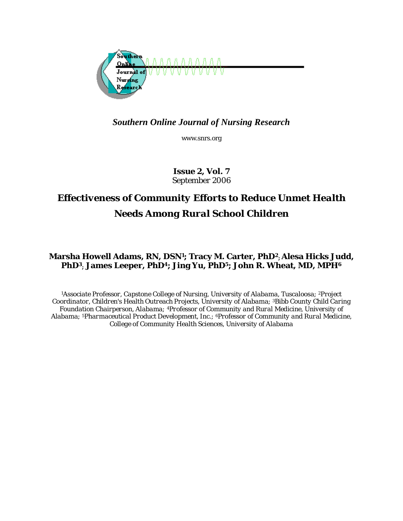

# *Southern Online Journal of Nursing Research*

www.snrs.org

*Issue 2, Vol. 7 September 2006* 

# *Effectiveness of Community Efforts to Reduce Unmet Health Needs Among Rural School Children*

### **Marsha Howell Adams, RN, DSN1; Tracy M. Carter, PhD2 ; Alesa Hicks Judd, PhD3 ; James Leeper, PhD4; Jing Yu, PhD5; John R. Wheat, MD, MPH6**

*1Associate Professor, Capstone College of Nursing, University of Alabama, Tuscaloosa; 2Project Coordinator, Children's Health Outreach Projects, University of Alabama; 3Bibb County Child Caring Foundation Chairperson, Alabama; 4Professor of Community and Rural Medicine, University of Alabama; 5Pharmaceutical Product Development, Inc.; 6Professor of Community and Rural Medicine, College of Community Health Sciences, University of Alabama*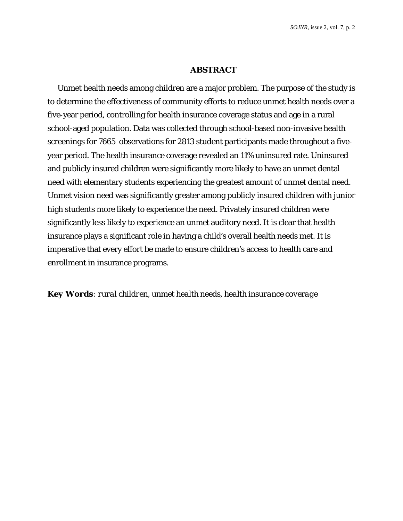#### **ABSTRACT**

 Unmet health needs among children are a major problem. The purpose of the study is to determine the effectiveness of community efforts to reduce unmet health needs over a five-year period, controlling for health insurance coverage status and age in a rural school-aged population. Data was collected through school-based non-invasive health screenings for 7665 observations for 2813 student participants made throughout a fiveyear period. The health insurance coverage revealed an 11% uninsured rate. Uninsured and publicly insured children were significantly more likely to have an unmet dental need with elementary students experiencing the greatest amount of unmet dental need. Unmet vision need was significantly greater among publicly insured children with junior high students more likely to experience the need. Privately insured children were significantly less likely to experience an unmet auditory need. It is clear that health insurance plays a significant role in having a child's overall health needs met. It is imperative that every effort be made to ensure children's access to health care and enrollment in insurance programs.

#### *Key Words: rural children, unmet health needs, health insurance coverage*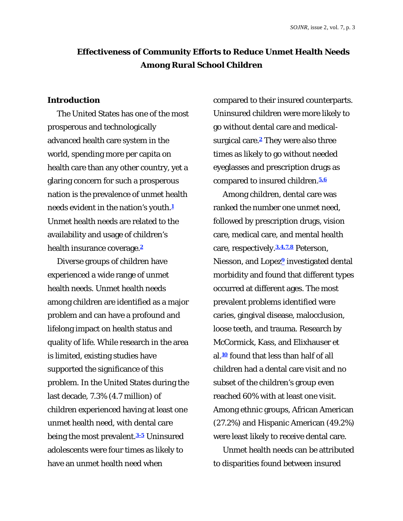# **Effectiveness of Community Efforts to Reduce Unmet Health Needs Among Rural School Children**

#### **Introduction**

 The United States has one of the most prosperous and technologically advanced health care system in the world, spending more per capita on health care than any other country, yet a glaring concern for such a prosperous nation is the prevalence of unmet health needs evident in the nation's youth.**<sup>1</sup>** Unmet health needs are related to the availability and usage of children's health insurance coverage.**<sup>2</sup>**

 Diverse groups of children have experienced a wide range of unmet health needs. Unmet health needs among children are identified as a major problem and can have a profound and lifelong impact on health status and quality of life. While research in the area is limited, existing studies have supported the significance of this problem. In the United States during the last decade, 7.3% (4.7 million) of children experienced having at least one unmet health need, with dental care being the most prevalent.**3-5** Uninsured adolescents were four times as likely to have an unmet health need when

compared to their insured counterparts. Uninsured children were more likely to go without dental care and medicalsurgical care.**2** They were also three times as likely to go without needed eyeglasses and prescription drugs as compared to insured children.**5,6**

 Among children, dental care was ranked the number one unmet need, followed by prescription drugs, vision care, medical care, and mental health care, respectively.**3,4,7,8** Peterson, Niesson, and Lopez**9** investigated dental morbidity and found that different types occurred at different ages. The most prevalent problems identified were caries, gingival disease, malocclusion, loose teeth, and trauma. Research by McCormick, Kass, and Elixhauser et al.**10** found that less than half of all children had a dental care visit and no subset of the children's group even reached 60% with at least one visit. Among ethnic groups, African American (27.2%) and Hispanic American (49.2%) were least likely to receive dental care.

 Unmet health needs can be attributed to disparities found between insured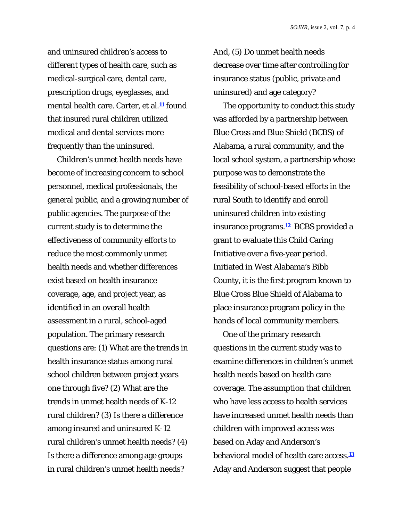and uninsured children's access to different types of health care, such as medical-surgical care, dental care, prescription drugs, eyeglasses, and mental health care. Carter, et al.**11** found that insured rural children utilized medical and dental services more frequently than the uninsured.

 Children's unmet health needs have become of increasing concern to school personnel, medical professionals, the general public, and a growing number of public agencies. The purpose of the current study is to determine the effectiveness of community efforts to reduce the most commonly unmet health needs and whether differences exist based on health insurance coverage, age, and project year, as identified in an overall health assessment in a rural, school-aged population. The primary research questions are: (1) What are the trends in health insurance status among rural school children between project years one through five? (2) What are the trends in unmet health needs of K-12 rural children? (3) Is there a difference among insured and uninsured K-12 rural children's unmet health needs? (4) Is there a difference among age groups in rural children's unmet health needs?

And, (5) Do unmet health needs decrease over time after controlling for insurance status (public, private and uninsured) and age category?

 The opportunity to conduct this study was afforded by a partnership between Blue Cross and Blue Shield (BCBS) of Alabama, a rural community, and the local school system, a partnership whose purpose was to demonstrate the feasibility of school-based efforts in the rural South to identify and enroll uninsured children into existing insurance programs.**12** BCBS provided a grant to evaluate this Child Caring Initiative over a five-year period. Initiated in West Alabama's Bibb County, it is the first program known to Blue Cross Blue Shield of Alabama to place insurance program policy in the hands of local community members.

 One of the primary research questions in the current study was to examine differences in children's unmet health needs based on health care coverage. The assumption that children who have less access to health services have increased unmet health needs than children with improved access was based on Aday and Anderson's behavioral model of health care access.**<sup>13</sup>** Aday and Anderson suggest that people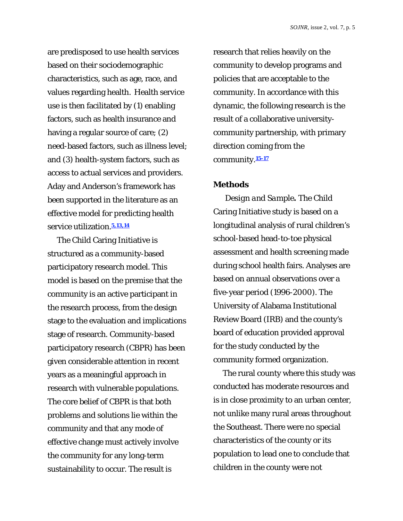are predisposed to use health services based on their sociodemographic characteristics, such as age, race, and values regarding health. Health service use is then facilitated by (1) enabling factors, such as health insurance and having a regular source of care; (2) need-based factors, such as illness level; and (3) health-system factors, such as access to actual services and providers. Aday and Anderson's framework has been supported in the literature as an effective model for predicting health service utilization.**5,13,14**

 The Child Caring Initiative is structured as a community-based participatory research model. This model is based on the premise that the community is an active participant in the research process, from the design stage to the evaluation and implications stage of research. Community-based participatory research (CBPR) has been given considerable attention in recent years as a meaningful approach in research with vulnerable populations. The core belief of CBPR is that both problems and solutions lie within the community and that any mode of effective change must actively involve the community for any long-term sustainability to occur. The result is

research that relies heavily on the community to develop programs and policies that are acceptable to the community. In accordance with this dynamic, the following research is the result of a collaborative universitycommunity partnership, with primary direction coming from the community.**15-17**

#### **Methods**

*Design and Sample.* The Child Caring Initiative study is based on a longitudinal analysis of rural children's school-based head-to-toe physical assessment and health screening made during school health fairs. Analyses are based on annual observations over a five-year period (1996-2000). The University of Alabama Institutional Review Board (IRB) and the county's board of education provided approval for the study conducted by the community formed organization.

 The rural county where this study was conducted has moderate resources and is in close proximity to an urban center, not unlike many rural areas throughout the Southeast. There were no special characteristics of the county or its population to lead one to conclude that children in the county were not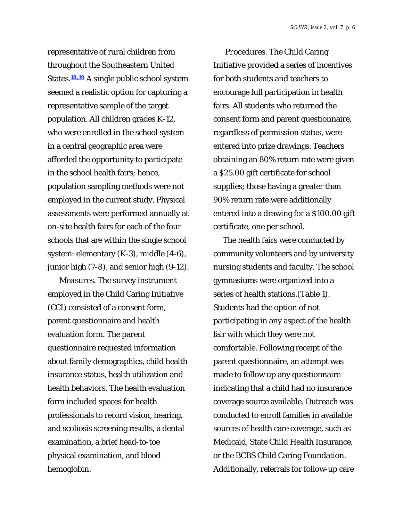representative of rural children from throughout the Southeastern United States.**18,19** A single public school system seemed a realistic option for capturing a representative sample of the target population. All children grades K-12, who were enrolled in the school system in a central geographic area were afforded the opportunity to participate in the school health fairs; hence, population sampling methods were not employed in the current study. Physical assessments were performed annually at on-site health fairs for each of the four schools that are within the single school system: elementary (K-3), middle (4-6), junior high (7-8), and senior high (9-12).

*Measures.* The survey instrument employed in the Child Caring Initiative (CCI) consisted of a consent form, parent questionnaire and health evaluation form. The parent questionnaire requested information about family demographics, child health insurance status, health utilization and health behaviors. The health evaluation form included spaces for health professionals to record vision, hearing, and scoliosis screening results, a dental examination, a brief head-to-toe physical examination, and blood hemoglobin.

*Procedures.* The Child Caring Initiative provided a series of incentives for both students and teachers to encourage full participation in health fairs. All students who returned the consent form and parent questionnaire, regardless of permission status, were entered into prize drawings. Teachers obtaining an 80% return rate were given a \$25.00 gift certificate for school supplies; those having a greater than 90% return rate were additionally entered into a drawing for a \$100.00 gift certificate, one per school.

 The health fairs were conducted by community volunteers and by university nursing students and faculty. The school gymnasiums were organized into a series of health stations.(Table 1). Students had the option of not participating in any aspect of the health fair with which they were not comfortable. Following receipt of the parent questionnaire, an attempt was made to follow up any questionnaire indicating that a child had no insurance coverage source available. Outreach was conducted to enroll families in available sources of health care coverage, such as Medicaid, State Child Health Insurance, or the BCBS Child Caring Foundation. Additionally, referrals for follow-up care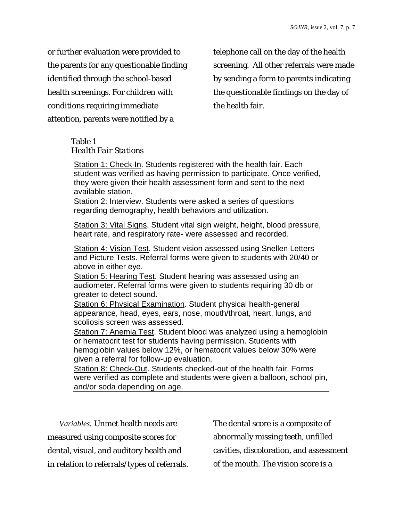or further evaluation were provided to the parents for any questionable finding identified through the school-based health screenings. For children with conditions requiring immediate attention, parents were notified by a

telephone call on the day of the health screening. All other referrals were made by sending a form to parents indicating the questionable findings on the day of the health fair.

## Table 1 *Health Fair Stations*

Station 1: Check-In. Students registered with the health fair. Each student was verified as having permission to participate. Once verified, they were given their health assessment form and sent to the next available station.

Station 2: Interview. Students were asked a series of questions regarding demography, health behaviors and utilization.

Station 3: Vital Signs. Student vital sign weight, height, blood pressure, heart rate, and respiratory rate- were assessed and recorded.

Station 4: Vision Test. Student vision assessed using Snellen Letters and Picture Tests. Referral forms were given to students with 20/40 or above in either eye.

Station 5: Hearing Test. Student hearing was assessed using an audiometer. Referral forms were given to students requiring 30 db or greater to detect sound.

Station 6: Physical Examination. Student physical health-general appearance, head, eyes, ears, nose, mouth/throat, heart, lungs, and scoliosis screen was assessed.

Station 7: Anemia Test. Student blood was analyzed using a hemoglobin or hematocrit test for students having permission. Students with hemoglobin values below 12%, or hematocrit values below 30% were given a referral for follow-up evaluation.

Station 8: Check-Out. Students checked-out of the health fair. Forms were verified as complete and students were given a balloon, school pin, and/or soda depending on age.

*Variables.* Unmet health needs are measured using composite scores for dental, visual, and auditory health and in relation to referrals/types of referrals.

The dental score is a composite of abnormally missing teeth, unfilled cavities, discoloration, and assessment of the mouth. The vision score is a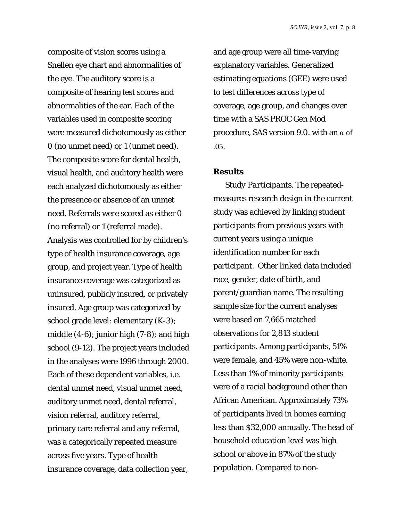composite of vision scores using a Snellen eye chart and abnormalities of the eye. The auditory score is a composite of hearing test scores and abnormalities of the ear. Each of the variables used in composite scoring were measured dichotomously as either 0 (no unmet need) or 1 (unmet need). The composite score for dental health, visual health, and auditory health were each analyzed dichotomously as either the presence or absence of an unmet need. Referrals were scored as either 0 (no referral) or 1 (referral made). Analysis was controlled for by children's type of health insurance coverage, age group, and project year. Type of health insurance coverage was categorized as uninsured, publicly insured, or privately insured. Age group was categorized by school grade level: elementary (K-3); middle  $(4-6)$ ; junior high  $(7-8)$ ; and high school (9-12). The project years included in the analyses were 1996 through 2000. Each of these dependent variables, i.e. dental unmet need, visual unmet need, auditory unmet need, dental referral, vision referral, auditory referral, primary care referral and any referral, was a categorically repeated measure across five years. Type of health insurance coverage, data collection year,

and age group were all time-varying explanatory variables. Generalized estimating equations (GEE) were used to test differences across type of coverage, age group, and changes over time with a SAS PROC Gen Mod procedure, SAS version 9.0. with an  $\alpha$  of .05.

#### **Results**

*Study Participants.* The repeatedmeasures research design in the current study was achieved by linking student participants from previous years with current years using a unique identification number for each participant. Other linked data included race, gender, date of birth, and parent/guardian name. The resulting sample size for the current analyses were based on 7,665 matched observations for 2,813 student participants. Among participants, 51% were female, and 45% were non-white. Less than 1% of minority participants were of a racial background other than African American. Approximately 73% of participants lived in homes earning less than \$32,000 annually. The head of household education level was high school or above in 87% of the study population. Compared to non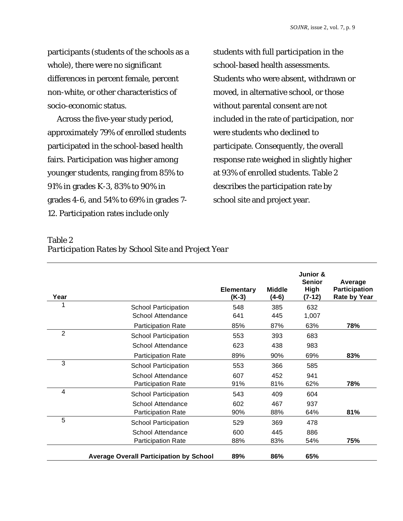participants (students of the schools as a whole), there were no significant differences in percent female, percent non-white, or other characteristics of socio-economic status.

 Across the five-year study period, approximately 79% of enrolled students participated in the school-based health fairs. Participation was higher among younger students, ranging from 85% to 91% in grades K-3, 83% to 90% in grades 4-6, and 54% to 69% in grades 7- 12. Participation rates include only

students with full participation in the school-based health assessments. Students who were absent, withdrawn or moved, in alternative school, or those without parental consent are not included in the rate of participation, nor were students who declined to participate. Consequently, the overall response rate weighed in slightly higher at 93% of enrolled students. Table 2 describes the participation rate by school site and project year.

| Year           |                                                | <b>Elementary</b><br>$(K-3)$ | <b>Middle</b><br>$(4-6)$ | Junior &<br><b>Senior</b><br>High<br>(7-12) | Average<br>Participation<br>Rate by Year |
|----------------|------------------------------------------------|------------------------------|--------------------------|---------------------------------------------|------------------------------------------|
|                | <b>School Participation</b>                    | 548                          | 385                      | 632                                         |                                          |
|                | School Attendance                              | 641                          | 445                      | 1,007                                       |                                          |
|                | <b>Participation Rate</b>                      | 85%                          | 87%                      | 63%                                         | 78%                                      |
| $\overline{2}$ | <b>School Participation</b>                    | 553                          | 393                      | 683                                         |                                          |
|                | School Attendance                              | 623                          | 438                      | 983                                         |                                          |
|                | <b>Participation Rate</b>                      | 89%                          | 90%                      | 69%                                         | 83%                                      |
| 3              | <b>School Participation</b>                    | 553                          | 366                      | 585                                         |                                          |
|                | School Attendance                              | 607                          | 452                      | 941                                         |                                          |
|                | <b>Participation Rate</b>                      | 91%                          | 81%                      | 62%                                         | 78%                                      |
| 4              | <b>School Participation</b>                    | 543                          | 409                      | 604                                         |                                          |
|                | School Attendance                              | 602                          | 467                      | 937                                         |                                          |
|                | <b>Participation Rate</b>                      | 90%                          | 88%                      | 64%                                         | 81%                                      |
| 5              | <b>School Participation</b>                    | 529                          | 369                      | 478                                         |                                          |
|                | School Attendance                              | 600                          | 445                      | 886                                         |                                          |
|                | <b>Participation Rate</b>                      | 88%                          | 83%                      | 54%                                         | 75%                                      |
|                | <b>Average Overall Participation by School</b> | 89%                          | 86%                      | 65%                                         |                                          |

#### Table 2 *Participation Rates by School Site and Project Year*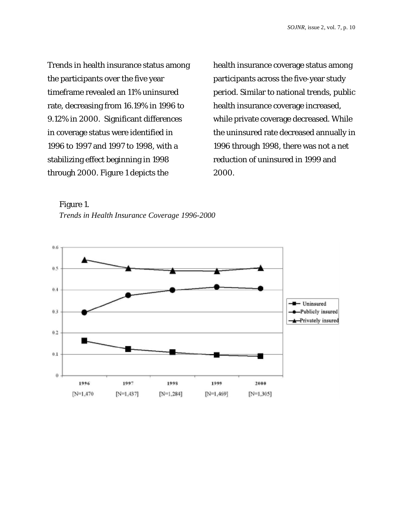Trends in health insurance status among the participants over the five year timeframe revealed an 11% uninsured rate, decreasing from 16.19% in 1996 to 9.12% in 2000. Significant differences in coverage status were identified in 1996 to 1997 and 1997 to 1998, with a stabilizing effect beginning in 1998 through 2000. Figure 1 depicts the

health insurance coverage status among participants across the five-year study period. Similar to national trends, public health insurance coverage increased, while private coverage decreased. While the uninsured rate decreased annually in 1996 through 1998, there was not a net reduction of uninsured in 1999 and 2000.

Figure 1. *Trends in Health Insurance Coverage 1996-2000*

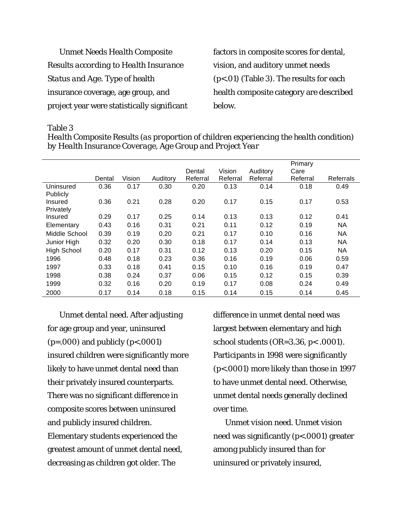| <b>Unmet Needs Health Composite</b>         |
|---------------------------------------------|
| Results according to Health Insurance       |
| Status and Age. Type of health              |
| insurance coverage, age group, and          |
| project year were statistically significant |

factors in composite scores for dental, vision, and auditory unmet needs (p<.01) (Table 3). The results for each health composite category are described below.

#### Table 3

*Health Composite Results (as proportion of children experiencing the health condition) by Health Insurance Coverage, Age Group and Project Year* 

|                    |        |        |          |          |          |          | Primary  |           |
|--------------------|--------|--------|----------|----------|----------|----------|----------|-----------|
|                    |        |        |          | Dental   | Vision   | Auditory | Care     |           |
|                    | Dental | Vision | Auditory | Referral | Referral | Referral | Referral | Referrals |
| Uninsured          | 0.36   | 0.17   | 0.30     | 0.20     | 0.13     | 0.14     | 0.18     | 0.49      |
| Publicly           |        |        |          |          |          |          |          |           |
| Insured            | 0.36   | 0.21   | 0.28     | 0.20     | 0.17     | 0.15     | 0.17     | 0.53      |
| Privately          |        |        |          |          |          |          |          |           |
| Insured            | 0.29   | 0.17   | 0.25     | 0.14     | 0.13     | 0.13     | 0.12     | 0.41      |
| Elementary         | 0.43   | 0.16   | 0.31     | 0.21     | 0.11     | 0.12     | 0.19     | <b>NA</b> |
| Middle School      | 0.39   | 0.19   | 0.20     | 0.21     | 0.17     | 0.10     | 0.16     | NA.       |
| Junior High        | 0.32   | 0.20   | 0.30     | 0.18     | 0.17     | 0.14     | 0.13     | <b>NA</b> |
| <b>High School</b> | 0.20   | 0.17   | 0.31     | 0.12     | 0.13     | 0.20     | 0.15     | <b>NA</b> |
| 1996               | 0.48   | 0.18   | 0.23     | 0.36     | 0.16     | 0.19     | 0.06     | 0.59      |
| 1997               | 0.33   | 0.18   | 0.41     | 0.15     | 0.10     | 0.16     | 0.19     | 0.47      |
| 1998               | 0.38   | 0.24   | 0.37     | 0.06     | 0.15     | 0.12     | 0.15     | 0.39      |
| 1999               | 0.32   | 0.16   | 0.20     | 0.19     | 0.17     | 0.08     | 0.24     | 0.49      |
| 2000               | 0.17   | 0.14   | 0.18     | 0.15     | 0.14     | 0.15     | 0.14     | 0.45      |

*Unmet dental need.* After adjusting for age group and year, uninsured  $(p=.000)$  and publicly  $(p<.0001)$ insured children were significantly more likely to have unmet dental need than their privately insured counterparts. There was no significant difference in composite scores between uninsured and publicly insured children. Elementary students experienced the greatest amount of unmet dental need, decreasing as children got older. The

difference in unmet dental need was largest between elementary and high school students (OR=3.36, p< .0001). Participants in 1998 were significantly (p<.0001) more likely than those in 1997 to have unmet dental need. Otherwise, unmet dental needs generally declined over time.

*Unmet vision need.* Unmet vision need was significantly (p<.0001) greater among publicly insured than for uninsured or privately insured,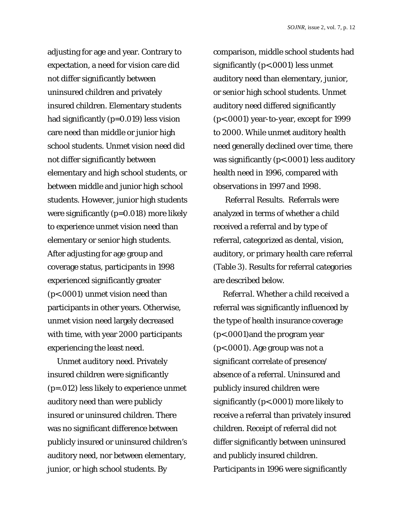adjusting for age and year. Contrary to expectation, a need for vision care did not differ significantly between uninsured children and privately insured children. Elementary students had significantly (p=0.019) less vision care need than middle or junior high school students. Unmet vision need did not differ significantly between elementary and high school students, or between middle and junior high school students. However, junior high students were significantly (p=0.018) more likely to experience unmet vision need than elementary or senior high students. After adjusting for age group and coverage status, participants in 1998 experienced significantly greater (p<.0001) unmet vision need than participants in other years. Otherwise, unmet vision need largely decreased with time, with year 2000 participants experiencing the least need.

 *Unmet auditory need.* Privately insured children were significantly (p=.012) less likely to experience unmet auditory need than were publicly insured or uninsured children. There was no significant difference between publicly insured or uninsured children's auditory need, nor between elementary, junior, or high school students. By

comparison, middle school students had significantly (p<.0001) less unmet auditory need than elementary, junior, or senior high school students. Unmet auditory need differed significantly (p<.0001) year-to-year, except for 1999 to 2000. While unmet auditory health need generally declined over time, there was significantly (p<.0001) less auditory health need in 1996, compared with observations in 1997 and 1998.

*Referral Results*. Referrals were analyzed in terms of whether a child received a referral and by type of referral, categorized as dental, vision, auditory, or primary health care referral (Table 3). Results for referral categories are described below.

 *Referral.* Whether a child received a referral was significantly influenced by the type of health insurance coverage (p<.0001)and the program year (p<.0001). Age group was not a significant correlate of presence/ absence of a referral. Uninsured and publicly insured children were significantly (p<.0001) more likely to receive a referral than privately insured children. Receipt of referral did not differ significantly between uninsured and publicly insured children. Participants in 1996 were significantly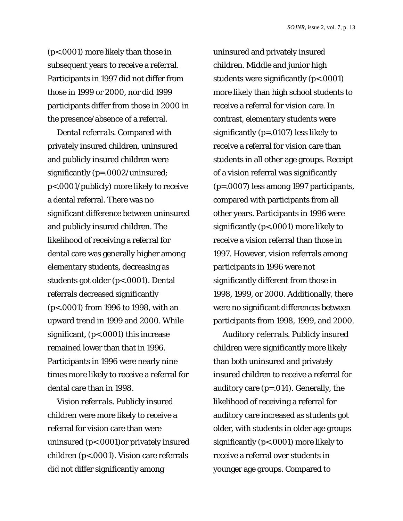(p<.0001) more likely than those in subsequent years to receive a referral. Participants in 1997 did not differ from those in 1999 or 2000, nor did 1999 participants differ from those in 2000 in the presence/absence of a referral.

 *Dental referrals.* Compared with privately insured children, uninsured and publicly insured children were significantly (p=.0002/uninsured; p<.0001/publicly) more likely to receive a dental referral. There was no significant difference between uninsured and publicly insured children. The likelihood of receiving a referral for dental care was generally higher among elementary students, decreasing as students got older (p<.0001). Dental referrals decreased significantly (p<.0001) from 1996 to 1998, with an upward trend in 1999 and 2000. While significant, (p<.0001) this increase remained lower than that in 1996. Participants in 1996 were nearly nine times more likely to receive a referral for dental care than in 1998.

 *Vision referrals.* Publicly insured children were more likely to receive a referral for vision care than were uninsured (p<.0001)or privately insured children (p<.0001). Vision care referrals did not differ significantly among

uninsured and privately insured children. Middle and junior high students were significantly (p<.0001) more likely than high school students to receive a referral for vision care. In contrast, elementary students were significantly (p=.0107) less likely to receive a referral for vision care than students in all other age groups. Receipt of a vision referral was significantly (p=.0007) less among 1997 participants, compared with participants from all other years. Participants in 1996 were significantly (p<.0001) more likely to receive a vision referral than those in 1997. However, vision referrals among participants in 1996 were not significantly different from those in 1998, 1999, or 2000. Additionally, there were no significant differences between participants from 1998, 1999, and 2000.

 *Auditory referrals.* Publicly insured children were significantly more likely than both uninsured and privately insured children to receive a referral for auditory care (p=.014). Generally, the likelihood of receiving a referral for auditory care increased as students got older, with students in older age groups significantly (p<.0001) more likely to receive a referral over students in younger age groups. Compared to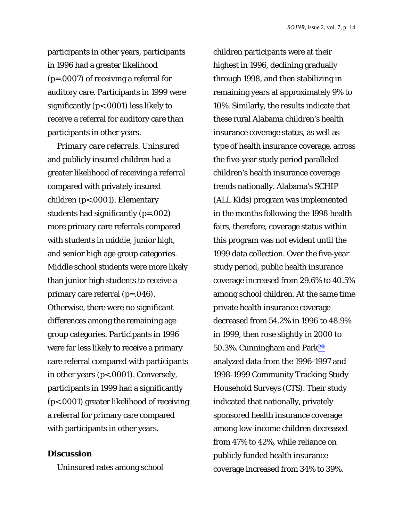participants in other years, participants in 1996 had a greater likelihood (p=.0007) of receiving a referral for auditory care. Participants in 1999 were significantly (p<.0001) less likely to receive a referral for auditory care than participants in other years.

 *Primary care referrals.* Uninsured and publicly insured children had a greater likelihood of receiving a referral compared with privately insured children (p<.0001). Elementary students had significantly (p=.002) more primary care referrals compared with students in middle, junior high, and senior high age group categories. Middle school students were more likely than junior high students to receive a primary care referral (p=.046). Otherwise, there were no significant differences among the remaining age group categories. Participants in 1996 were far less likely to receive a primary care referral compared with participants in other years (p<.0001). Conversely, participants in 1999 had a significantly (p<.0001) greater likelihood of receiving a referral for primary care compared with participants in other years.

#### **Discussion**

Uninsured rates among school

children participants were at their highest in 1996, declining gradually through 1998, and then stabilizing in remaining years at approximately 9% to 10%. Similarly, the results indicate that these rural Alabama children's health insurance coverage status, as well as type of health insurance coverage, across the five-year study period paralleled children's health insurance coverage trends nationally. Alabama's SCHIP (ALL Kids) program was implemented in the months following the 1998 health fairs, therefore, coverage status within this program was not evident until the 1999 data collection. Over the five-year study period, public health insurance coverage increased from 29.6% to 40.5% among school children. At the same time private health insurance coverage decreased from 54.2% in 1996 to 48.9% in 1999, then rose slightly in 2000 to 50.3%. Cunningham and Park**<sup>20</sup>** analyzed data from the 1996-1997 and 1998-1999 Community Tracking Study Household Surveys (CTS). Their study indicated that nationally, privately sponsored health insurance coverage among low-income children decreased from 47% to 42%, while reliance on publicly funded health insurance coverage increased from 34% to 39%.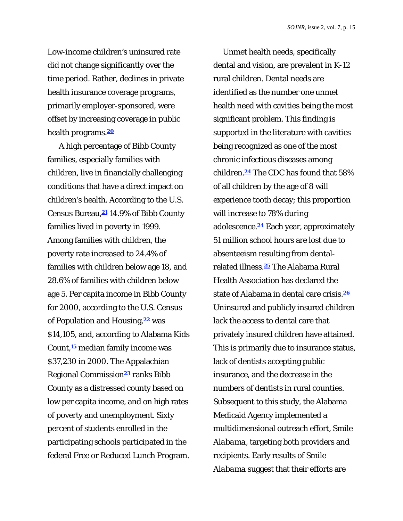Low-income children's uninsured rate did not change significantly over the time period. Rather, declines in private health insurance coverage programs, primarily employer-sponsored, were offset by increasing coverage in public health programs.**<sup>20</sup>**

 A high percentage of Bibb County families, especially families with children, live in financially challenging conditions that have a direct impact on children's health. According to the U.S. Census Bureau,**21** 14.9% of Bibb County families lived in poverty in 1999. Among families with children, the poverty rate increased to 24.4% of families with children below age 18, and 28.6% of families with children below age 5. Per capita income in Bibb County for 2000, according to the U.S. Census of Population and Housing,**22** was \$14,105, and, according to Alabama Kids Count,**15** median family income was \$37,230 in 2000. The Appalachian Regional Commission**23** ranks Bibb County as a distressed county based on low per capita income, and on high rates of poverty and unemployment. Sixty percent of students enrolled in the participating schools participated in the federal Free or Reduced Lunch Program.

 Unmet health needs, specifically dental and vision, are prevalent in K-12 rural children. Dental needs are identified as the number one unmet health need with cavities being the most significant problem. This finding is supported in the literature with cavities being recognized as one of the most chronic infectious diseases among children.**24** The CDC has found that 58% of all children by the age of 8 will experience tooth decay; this proportion will increase to 78% during adolescence.**24** Each year, approximately 51 million school hours are lost due to absenteeism resulting from dentalrelated illness.**25** The Alabama Rural Health Association has declared the state of Alabama in dental care crisis.**<sup>26</sup>** Uninsured and publicly insured children lack the access to dental care that privately insured children have attained. This is primarily due to insurance status, lack of dentists accepting public insurance, and the decrease in the numbers of dentists in rural counties. Subsequent to this study, the Alabama Medicaid Agency implemented a multidimensional outreach effort, *Smile Alabama*, targeting both providers and recipients. Early results of *Smile Alabama* suggest that their efforts are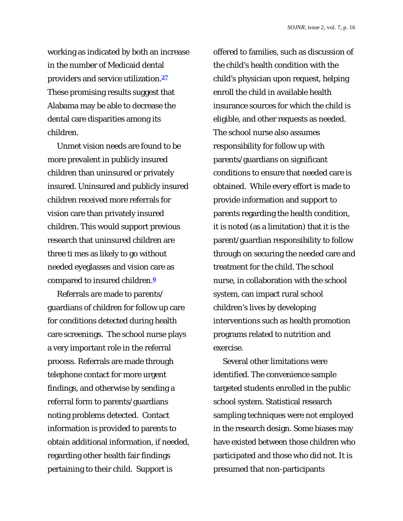working as indicated by both an increase in the number of Medicaid dental providers and service utilization.**<sup>27</sup>** These promising results suggest that Alabama may be able to decrease the dental care disparities among its children.

 Unmet vision needs are found to be more prevalent in publicly insured children than uninsured or privately insured. Uninsured and publicly insured children received more referrals for vision care than privately insured children. This would support previous research that uninsured children are three ti mes as likely to go without needed eyeglasses and vision care as compared to insured children.**<sup>6</sup>**

 Referrals are made to parents/ guardians of children for follow up care for conditions detected during health care screenings. The school nurse plays a very important role in the referral process. Referrals are made through telephone contact for more urgent findings, and otherwise by sending a referral form to parents/guardians noting problems detected. Contact information is provided to parents to obtain additional information, if needed, regarding other health fair findings pertaining to their child. Support is

offered to families, such as discussion of the child's health condition with the child's physician upon request, helping enroll the child in available health insurance sources for which the child is eligible, and other requests as needed. The school nurse also assumes responsibility for follow up with parents/guardians on significant conditions to ensure that needed care is obtained. While every effort is made to provide information and support to parents regarding the health condition, it is noted (as a limitation) that it is the parent/guardian responsibility to follow through on securing the needed care and treatment for the child. The school nurse, in collaboration with the school system, can impact rural school children's lives by developing interventions such as health promotion programs related to nutrition and exercise.

 Several other limitations were identified. The convenience sample targeted students enrolled in the public school system. Statistical research sampling techniques were not employed in the research design. Some biases may have existed between those children who participated and those who did not. It is presumed that non-participants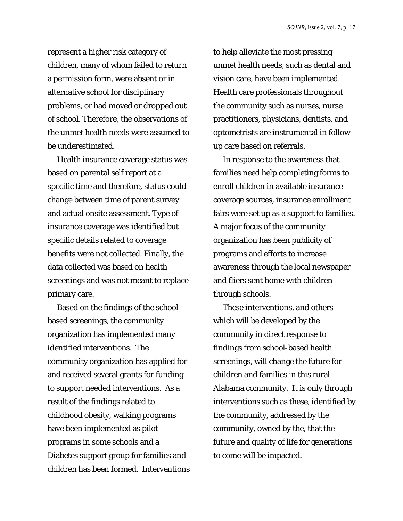represent a higher risk category of children, many of whom failed to return a permission form, were absent or in alternative school for disciplinary problems, or had moved or dropped out of school. Therefore, the observations of the unmet health needs were assumed to be underestimated.

 Health insurance coverage status was based on parental self report at a specific time and therefore, status could change between time of parent survey and actual onsite assessment. Type of insurance coverage was identified but specific details related to coverage benefits were not collected. Finally, the data collected was based on health screenings and was not meant to replace primary care.

 Based on the findings of the schoolbased screenings, the community organization has implemented many identified interventions. The community organization has applied for and received several grants for funding to support needed interventions. As a result of the findings related to childhood obesity, walking programs have been implemented as pilot programs in some schools and a Diabetes support group for families and children has been formed. Interventions to help alleviate the most pressing unmet health needs, such as dental and vision care, have been implemented. Health care professionals throughout the community such as nurses, nurse practitioners, physicians, dentists, and optometrists are instrumental in followup care based on referrals.

 In response to the awareness that families need help completing forms to enroll children in available insurance coverage sources, insurance enrollment fairs were set up as a support to families. A major focus of the community organization has been publicity of programs and efforts to increase awareness through the local newspaper and fliers sent home with children through schools.

 These interventions, and others which will be developed by the community in direct response to findings from school-based health screenings, will change the future for children and families in this rural Alabama community. It is only through interventions such as these, identified by the community, addressed by the community, owned by the, that the future and quality of life for generations to come will be impacted.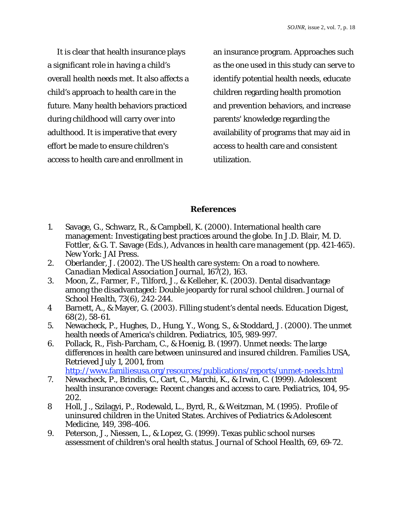It is clear that health insurance plays a significant role in having a child's overall health needs met. It also affects a child's approach to health care in the future. Many health behaviors practiced during childhood will carry over into adulthood. It is imperative that every effort be made to ensure children's access to health care and enrollment in

an insurance program. Approaches such as the one used in this study can serve to identify potential health needs, educate children regarding health promotion and prevention behaviors, and increase parents' knowledge regarding the availability of programs that may aid in access to health care and consistent utilization.

## **References**

- 1. Savage, G., Schwarz, R., & Campbell, K. (2000). International health care management: Investigating best practices around the globe. In J.D. Blair, M. D. Fottler, & G. T. Savage (Eds.), *Advances in health care management* (pp. 421-465). New York: JAI Press.
- 2. Oberlander, J. (2002). The US health care system: On a road to nowhere. *Canadian Medical Association Journal*, *167*(2), 163.
- 3. Moon, Z., Farmer, F., Tilford, J., & Kelleher, K. (2003). Dental disadvantage among the disadvantaged: Double jeopardy for rural school children. *Journal of School Health*, *73*(6), 242-244.
- 4 Barnett, A., & Mayer, G. (2003). Filling student's dental needs. *Education Digest*, *68*(2), 58-61.
- 5. Newacheck, P., Hughes, D., Hung, Y., Wong, S., & Stoddard, J. (2000). The unmet health needs of America's children. *Pediatrics*, *105,* 989-997.
- 6. Pollack, R., Fish-Parcham, C., & Hoenig, B. (1997). Unmet needs: The large differences in health care between uninsured and insured children. *Families USA*, Retrieved July 1, 2001, from <http://www.familiesusa.org/resources/publications/reports/unmet-needs.html>
- 7. Newacheck, P., Brindis, C., Cart, C., Marchi, K., & Irwin, C. (1999). Adolescent health insurance coverage: Recent changes and access to care. *Pediatrics, 104*, 95- 202.
- 8 Holl, J., Szilagyi, P., Rodewald, L., Byrd, R., & Weitzman, M. (1995). Profile of uninsured children in the United States. *Archives of Pediatrics & Adolescent Medicine*, *149*, 398-406.
- 9. Peterson, J., Niessen, L., & Lopez, G. (1999). Texas public school nurses assessment of children's oral health status. *Journal of School Health*, *69,* 69-72.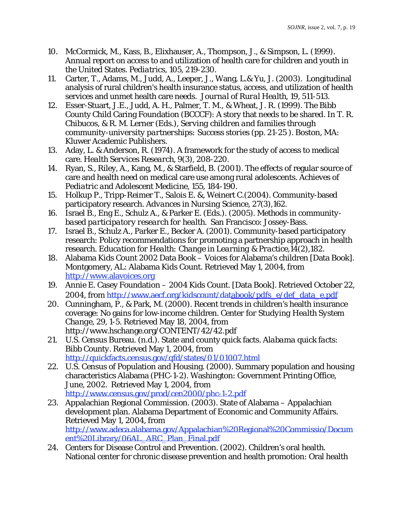- 10. McCormick, M., Kass, B., Elixhauser, A., Thompson, J., & Simpson, L. (1999). Annual report on access to and utilization of health care for children and youth in the United States. *Pediatrics, 105*, 219-230.
- 11. Carter, T., Adams, M., Judd, A., Leeper, J., Wang, L.& Yu, J. (2003). Longitudinal analysis of rural children's health insurance status, access, and utilization of health services and unmet health care needs. *Journal of Rural Health*, *19*, 511-513.
- 12. Esser-Stuart, J.E., Judd, A. H., Palmer, T. M., & Wheat, J. R. (1999). The Bibb County Child Caring Foundation (BCCCF): A story that needs to be shared. In T. R. Chibucos, & R. M. Lerner (Eds.), *Serving children and families through community-university partnerships: Success stories* (pp. 21-25 ). Boston, MA: Kluwer Academic Publishers.
- 13. Aday, L. & Anderson, R. (1974). A framework for the study of access to medical care. *Health Services Research*, *9*(3), 208-220.
- 14. Ryan, S., Riley, A., Kang, M., & Starfield, B. (2001). The effects of regular source of care and health need on medical care use among rural adolescents. *Achieves of Pediatric and Adolescent Medicine*, *155*, 184-190.
- 15. Holkup P., Tripp-Reimer T., Salois E. &, Weinert C.(2004). Community-based participatory research. *Advances in Nursing Science*, *27*(3),162.
- 16. Israel B., Eng E., Schulz A., & Parker E. (Eds.). (2005). *Methods in communitybased participatory research for health.* San Francisco: Jossey-Bass.
- 17. Israel B., Schulz A., Parker E., Becker A. (2001). Community-based participatory research: Policy recommendations for promoting a partnership approach in health research. *Education for Health: Change in Learning & Practice,14*(2),182.
- 18. Alabama Kids Count 2002 Data Book Voices for Alabama's children [Data Book]. Montgomery, AL: Alabama Kids Count. Retrieved May 1, 2004, from <http://www.alavoices.org>
- 19. Annie E. Casey Foundation 2004 Kids Count. [Data Book]. Retrieved October 22, 2004, from [http://www.aecf.org/kidscount/databook/pdfs\\_e/def\\_data\\_e.pdf](http://www.aecf.org/kidscount/databook/pdfs_e/def_data_e.pdf)
- 20. Cunningham, P., & Park, M. (2000). Recent trends in children's health insurance coverage: No gains for low-income children. *Center for Studying Health System Change*, *29*, 1-5. Retrieved May 18, 2004, from http://www.hschange.org/CONTENT/42/42.pdf
- 21. U.S. Census Bureau. (n.d.). State and county quick facts. *Alabama quick facts: Bibb County*. Retrieved May 1, 2004, from <http://quickfacts.census.gov/qfd/states/01/01007.html>
- 22. U.S. Census of Population and Housing. (2000). Summary population and housing characteristics Alabama (PHC-1-2). Washington: Government Printing Office, June, 2002. Retrieved May 1, 2004, from <http://www.census.gov/prod/cen2000/phc-1-2.pdf>
- 23. Appalachian Regional Commission. (2003). State of Alabama Appalachian development plan. Alabama Department of Economic and Community Affairs. Retrieved May 1, 2004, from [http://www.adeca.alabama.gov/Appalachian%20Regional%20Commissio/Docum](http://www.adeca.alabama.gov/Appalachian%20Regional%20Commissio/Document%20Library/06AL_ARC_Plan_Final.pdf) ent%20Library/06AL\_ARC\_Plan\_Final.pdf
- 24. Centers for Disease Control and Prevention. (2002). Children's oral health. National center for chronic disease prevention and health promotion: Oral health